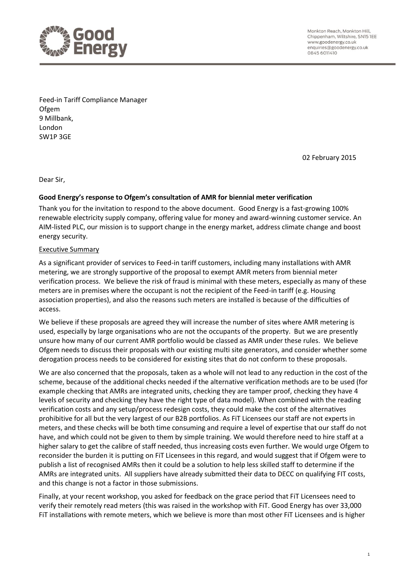

Monkton Reach, Monkton Hill, Chippenham, Wiltshire, SN15 IEE www.goodenergy.co.uk enquiries@goodenergy.co.uk 0845 6011410

Feed-in Tariff Compliance Manager **Ofgem** 9 Millbank, London SW1P 3GE

02 February 2015

Dear Sir,

#### **Good Energy's response to Ofgem's consultation of AMR for biennial meter verification**

Thank you for the invitation to respond to the above document. Good Energy is a fast-growing 100% renewable electricity supply company, offering value for money and award-winning customer service. An AIM-listed PLC, our mission is to support change in the energy market, address climate change and boost energy security.

#### Executive Summary

As a significant provider of services to Feed-in tariff customers, including many installations with AMR metering, we are strongly supportive of the proposal to exempt AMR meters from biennial meter verification process. We believe the risk of fraud is minimal with these meters, especially as many of these meters are in premises where the occupant is not the recipient of the Feed-in tariff (e.g. Housing association properties), and also the reasons such meters are installed is because of the difficulties of access.

We believe if these proposals are agreed they will increase the number of sites where AMR metering is used, especially by large organisations who are not the occupants of the property. But we are presently unsure how many of our current AMR portfolio would be classed as AMR under these rules. We believe Ofgem needs to discuss their proposals with our existing multi site generators, and consider whether some derogation process needs to be considered for existing sites that do not conform to these proposals.

We are also concerned that the proposals, taken as a whole will not lead to any reduction in the cost of the scheme, because of the additional checks needed if the alternative verification methods are to be used (for example checking that AMRs are integrated units, checking they are tamper proof, checking they have 4 levels of security and checking they have the right type of data model). When combined with the reading verification costs and any setup/process redesign costs, they could make the cost of the alternatives prohibitive for all but the very largest of our B2B portfolios. As FiT Licensees our staff are not experts in meters, and these checks will be both time consuming and require a level of expertise that our staff do not have, and which could not be given to them by simple training. We would therefore need to hire staff at a higher salary to get the calibre of staff needed, thus increasing costs even further. We would urge Ofgem to reconsider the burden it is putting on FiT Licensees in this regard, and would suggest that if Ofgem were to publish a list of recognised AMRs then it could be a solution to help less skilled staff to determine if the AMRs are integrated units. All suppliers have already submitted their data to DECC on qualifying FIT costs, and this change is not a factor in those submissions.

Finally, at your recent workshop, you asked for feedback on the grace period that FiT Licensees need to verify their remotely read meters (this was raised in the workshop with FiT. Good Energy has over 33,000 FiT installations with remote meters, which we believe is more than most other FiT Licensees and is higher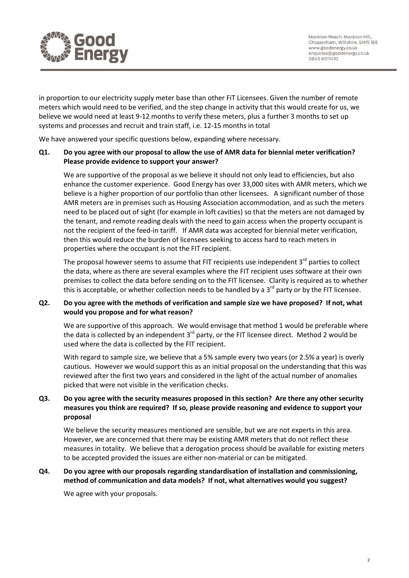

Monkton Reach, Monkton Hill, Chippenham, Wiltshire, SN15 IEE www.goodenergy.co.uk enquiries@goodenergy.co.uk 0845 6011410

in proportion to our electricity supply meter base than other FiT Licensees. Given the number of remote meters which would need to be verified, and the step change in activity that this would create for us, we believe we would need at least 9-12 months to verify these meters, plus a further 3 months to set up systems and processes and recruit and train staff, i.e. 12-15 months in total

We have answered your specific questions below, expanding where necessary.

## **Q1. Do you agree with our proposal to allow the use of AMR data for biennial meter verification? Please provide evidence to support your answer?**

We are supportive of the proposal as we believe it should not only lead to efficiencies, but also enhance the customer experience. Good Energy has over 33,000 sites with AMR meters, which we believe is a higher proportion of our portfolio than other licensees. A significant number of those AMR meters are in premises such as Housing Association accommodation, and as such the meters need to be placed out of sight (for example in loft cavities) so that the meters are not damaged by the tenant, and remote reading deals with the need to gain access when the property occupant is not the recipient of the feed-in tariff. If AMR data was accepted for biennial meter verification, then this would reduce the burden of licensees seeking to access hard to reach meters in properties where the occupant is not the FIT recipient.

The proposal however seems to assume that FIT recipients use independent 3<sup>rd</sup> parties to collect the data, where as there are several examples where the FIT recipient uses software at their own premises to collect the data before sending on to the FIT licensee. Clarity is required as to whether this is acceptable, or whether collection needs to be handled by a  $3<sup>rd</sup>$  party or by the FIT licensee.

## **Q2. Do you agree with the methods of verification and sample size we have proposed? If not, what would you propose and for what reason?**

We are supportive of this approach. We would envisage that method 1 would be preferable where the data is collected by an independent 3<sup>rd</sup> party, or the FIT licensee direct. Method 2 would be used where the data is collected by the FIT recipient.

With regard to sample size, we believe that a 5% sample every two years (or 2.5% a year) is overly cautious. However we would support this as an initial proposal on the understanding that this was reviewed after the first two years and considered in the light of the actual number of anomalies picked that were not visible in the verification checks.

# **Q3. Do you agree with the security measures proposed in this section? Are there any other security measures you think are required? If so, please provide reasoning and evidence to support your proposal**

We believe the security measures mentioned are sensible, but we are not experts in this area. However, we are concerned that there may be existing AMR meters that do not reflect these measures in totality. We believe that a derogation process should be available for existing meters to be accepted provided the issues are either non-material or can be mitigated.

## **Q4. Do you agree with our proposals regarding standardisation of installation and commissioning, method of communication and data models? If not, what alternatives would you suggest?**

We agree with your proposals.